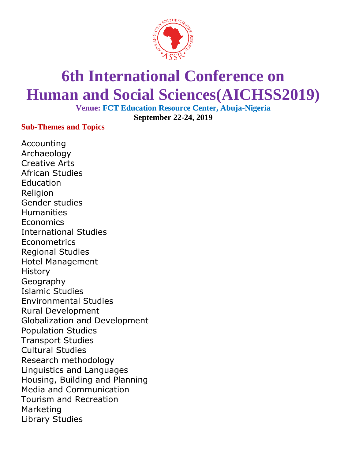

## **6th International Conference on Human and Social Sciences(AICHSS2019)**

**Venue: FCT Education Resource Center, Abuja-Nigeria September 22-24, 2019**

**Sub-Themes and Topics**

Accounting Archaeology Creative Arts African Studies **Education** Religion Gender studies **Humanities Economics** International Studies **Econometrics** Regional Studies Hotel Management **History** Geography Islamic Studies Environmental Studies Rural Development Globalization and Development Population Studies Transport Studies Cultural Studies Research methodology Linguistics and Languages Housing, Building and Planning Media and Communication Tourism and Recreation Marketing Library Studies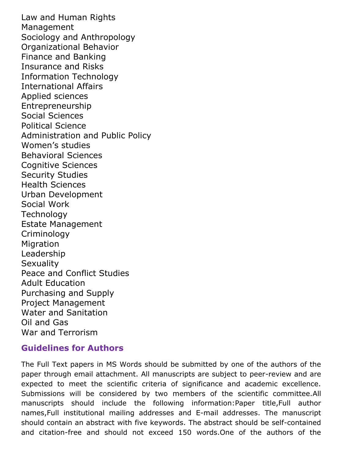Law and Human Rights Management Sociology and Anthropology Organizational Behavior Finance and Banking Insurance and Risks Information Technology International Affairs Applied sciences Entrepreneurship Social Sciences Political Science Administration and Public Policy Women's studies Behavioral Sciences Cognitive Sciences Security Studies Health Sciences Urban Development Social Work **Technology** Estate Management Criminology **Migration** Leadership **Sexuality** Peace and Conflict Studies Adult Education Purchasing and Supply Project Management Water and Sanitation Oil and Gas War and Terrorism

## **Guidelines for Authors**

The Full Text papers in MS Words should be submitted by one of the authors of the paper through email attachment. All manuscripts are subject to peer-review and are expected to meet the scientific criteria of significance and academic excellence. Submissions will be considered by two members of the scientific committee.All manuscripts should include the following information:Paper title,Full author names,Full institutional mailing addresses and E-mail addresses. The manuscript should contain an abstract with five keywords. The abstract should be self-contained and citation-free and should not exceed 150 words.One of the authors of the